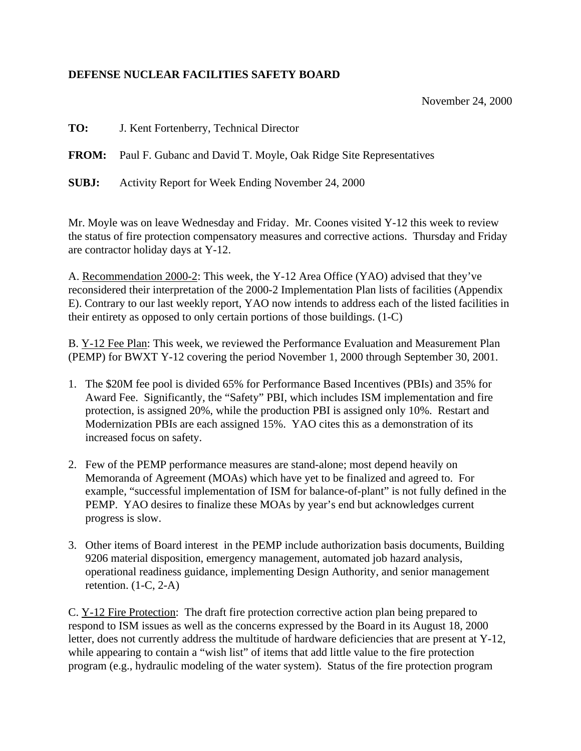## **DEFENSE NUCLEAR FACILITIES SAFETY BOARD**

November 24, 2000

**TO:** J. Kent Fortenberry, Technical Director

**FROM:** Paul F. Gubanc and David T. Moyle, Oak Ridge Site Representatives

**SUBJ:** Activity Report for Week Ending November 24, 2000

Mr. Moyle was on leave Wednesday and Friday. Mr. Coones visited Y-12 this week to review the status of fire protection compensatory measures and corrective actions. Thursday and Friday are contractor holiday days at Y-12.

A. Recommendation 2000-2: This week, the Y-12 Area Office (YAO) advised that they've reconsidered their interpretation of the 2000-2 Implementation Plan lists of facilities (Appendix E). Contrary to our last weekly report, YAO now intends to address each of the listed facilities in their entirety as opposed to only certain portions of those buildings. (1-C)

B. Y-12 Fee Plan: This week, we reviewed the Performance Evaluation and Measurement Plan (PEMP) for BWXT Y-12 covering the period November 1, 2000 through September 30, 2001.

- 1. The \$20M fee pool is divided 65% for Performance Based Incentives (PBIs) and 35% for Award Fee. Significantly, the "Safety" PBI, which includes ISM implementation and fire protection, is assigned 20%, while the production PBI is assigned only 10%. Restart and Modernization PBIs are each assigned 15%. YAO cites this as a demonstration of its increased focus on safety.
- 2. Few of the PEMP performance measures are stand-alone; most depend heavily on Memoranda of Agreement (MOAs) which have yet to be finalized and agreed to. For example, "successful implementation of ISM for balance-of-plant" is not fully defined in the PEMP. YAO desires to finalize these MOAs by year's end but acknowledges current progress is slow.
- 3. Other items of Board interest in the PEMP include authorization basis documents, Building 9206 material disposition, emergency management, automated job hazard analysis, operational readiness guidance, implementing Design Authority, and senior management retention.  $(1-C, 2-A)$

C. Y-12 Fire Protection: The draft fire protection corrective action plan being prepared to respond to ISM issues as well as the concerns expressed by the Board in its August 18, 2000 letter, does not currently address the multitude of hardware deficiencies that are present at Y-12, while appearing to contain a "wish list" of items that add little value to the fire protection program (e.g., hydraulic modeling of the water system). Status of the fire protection program